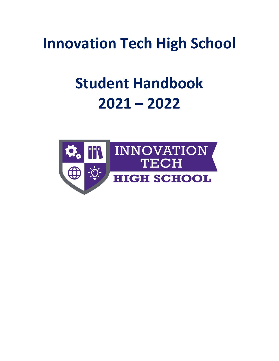**Innovation Tech High School**

# **Student Handbook 2021 – 2022**

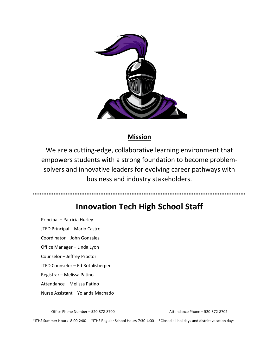

# **Mission**

We are a cutting-edge, collaborative learning environment that empowers students with a strong foundation to become problemsolvers and innovative leaders for evolving career pathways with business and industry stakeholders.

**……………………………………………………………………………………………………………**

# **Innovation Tech High School Staff**

Principal – Patricia Hurley

JTED Principal – Mario Castro

Coordinator – John Gonzales

Office Manager – Linda Lyon

Counselor – Jeffrey Proctor

JTED Counselor – Ed Rothlisberger

Registrar – Melissa Patino

Attendance – Melissa Patino

Nurse Assistant – Yolanda Machado

Office Phone Number – 520-372-8700 Attendance Phone – 520-372-8702

\*ITHS Summer Hours- 8:00-2:00 \*ITHS Regular School Hours-7:30-4:00 \*Closed all holidays and district vacation days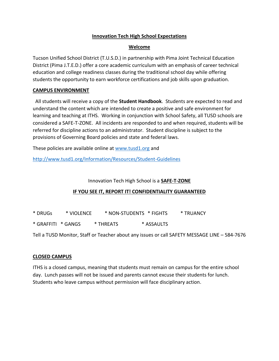#### **Innovation Tech High School Expectations**

#### **Welcome**

Tucson Unified School District (T.U.S.D.) in partnership with Pima Joint Technical Education District (Pima J.T.E.D.) offer a core academic curriculum with an emphasis of career technical education and college readiness classes during the traditional school day while offering students the opportunity to earn workforce certifications and job skills upon graduation.

#### **CAMPUS ENVIRONMENT**

 All students will receive a copy of the **Student Handbook**. Students are expected to read and understand the content which are intended to create a positive and safe environment for learning and teaching at ITHS. Working in conjunction with School Safety, all TUSD schools are considered a SAFE-T-ZONE. All incidents are responded to and when required, students will be referred for discipline actions to an administrator. Student discipline is subject to the provisions of Governing Board policies and state and federal laws.

These policies are available online at [www.tusd1.org](http://www.tusd1.org/) and

<http://www.tusd1.org/Information/Resources/Student-Guidelines>

#### Innovation Tech High School is a **SAFE-T-ZONE**

#### **IF YOU SEE IT, REPORT IT! CONFIDENTIALITY GUARANTEED**

\* DRUGs \* VIOLENCE \* NON-STUDENTS \* FIGHTS \* TRUANCY

\* GRAFFITI \* GANGS \* THREATS \* ASSAULTS

Tell a TUSD Monitor, Staff or Teacher about any issues or call SAFETY MESSAGE LINE – 584-7676

#### **CLOSED CAMPUS**

ITHS is a closed campus, meaning that students must remain on campus for the entire school day. Lunch passes will not be issued and parents cannot excuse their students for lunch. Students who leave campus without permission will face disciplinary action.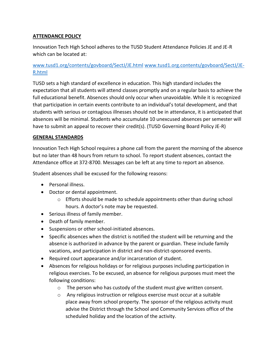# **ATTENDANCE POLICY**

Innovation Tech High School adheres to the TUSD Student Attendance Policies JE and JE-R which can be located at:

# [www.tusd1.org/contents/govboard/SectJ/JE.html](http://www.tusd1.org/contents/govboard/SectJ/JE.html) [www.tusd1.org.contents/govboard/SectJ/JE-](http://www.tusd1.org.contents/govboard/SectJ/JE-R.html)[R.html](http://www.tusd1.org.contents/govboard/SectJ/JE-R.html)

TUSD sets a high standard of excellence in education. This high standard includes the expectation that all students will attend classes promptly and on a regular basis to achieve the full educational benefit. Absences should only occur when unavoidable. While it is recognized that participation in certain events contribute to an individual's total development, and that students with serious or contagious illnesses should not be in attendance, it is anticipated that absences will be minimal. Students who accumulate 10 unexcused absences per semester will have to submit an appeal to recover their credit(s). (TUSD Governing Board Policy JE-R)

#### **GENERAL STANDARDS**

Innovation Tech High School requires a phone call from the parent the morning of the absence but no later than 48 hours from return to school. To report student absences, contact the Attendance office at 372-8700. Messages can be left at any time to report an absence.

Student absences shall be excused for the following reasons:

- Personal illness.
- Doctor or dental appointment.
	- $\circ$  Efforts should be made to schedule appointments other than during school hours. A doctor's note may be requested.
- Serious illness of family member.
- Death of family member.
- Suspensions or other school-initiated absences.
- Specific absences when the district is notified the student will be returning and the absence is authorized in advance by the parent or guardian. These include family vacations, and participation in district and non-district-sponsored events.
- Required court appearance and/or incarceration of student.
- Absences for religious holidays or for religious purposes including participation in religious exercises. To be excused, an absence for religious purposes must meet the following conditions:
	- o The person who has custody of the student must give written consent.
	- $\circ$  Any religious instruction or religious exercise must occur at a suitable place away from school property. The sponsor of the religious activity must advise the District through the School and Community Services office of the scheduled holiday and the location of the activity.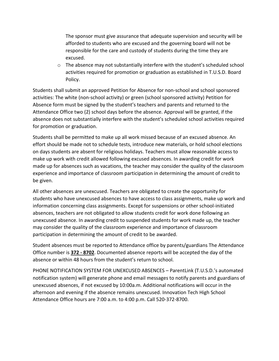The sponsor must give assurance that adequate supervision and security will be afforded to students who are excused and the governing board will not be responsible for the care and custody of students during the time they are excused.

o The absence may not substantially interfere with the student's scheduled school activities required for promotion or graduation as established in T.U.S.D. Board Policy.

Students shall submit an approved Petition for Absence for non-school and school sponsored activities: The white (non-school activity) or green (school sponsored activity) Petition for Absence form must be signed by the student's teachers and parents and returned to the Attendance Office two (2) school days before the absence. Approval will be granted, if the absence does not substantially interfere with the student's scheduled school activities required for promotion or graduation.

Students shall be permitted to make up all work missed because of an excused absence. An effort should be made not to schedule tests, introduce new materials, or hold school elections on days students are absent for religious holidays. Teachers must allow reasonable access to make up work with credit allowed following excused absences. In awarding credit for work made up for absences such as vacations, the teacher may consider the quality of the classroom experience and importance of classroom participation in determining the amount of credit to be given.

All other absences are unexcused. Teachers are obligated to create the opportunity for students who have unexcused absences to have access to class assignments, make up work and information concerning class assignments. Except for suspensions or other school-initiated absences, teachers are not obligated to allow students credit for work done following an unexcused absence. In awarding credit to suspended students for work made up, the teacher may consider the quality of the classroom experience and importance of classroom participation in determining the amount of credit to be awarded.

Student absences must be reported to Attendance office by parents/guardians The Attendance Office number is **372 - 8702**. Documented absence reports will be accepted the day of the absence or within 48 hours from the student's return to school.

PHONE NOTIFICATION SYSTEM FOR UNEXCUSED ABSENCES – ParentLink (T.U.S.D.'s automated notification system) will generate phone and email messages to notify parents and guardians of unexcused absences, if not excused by 10:00a.m. Additional notifications will occur in the afternoon and evening if the absence remains unexcused. Innovation Tech High School Attendance Office hours are 7:00 a.m. to 4:00 p.m. Call 520-372-8700.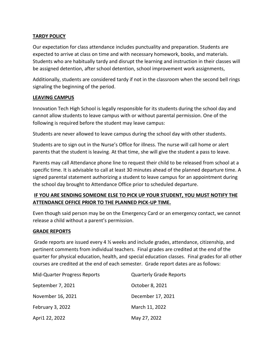#### **TARDY POLICY**

Our expectation for class attendance includes punctuality and preparation. Students are expected to arrive at class on time and with necessary homework, books, and materials. Students who are habitually tardy and disrupt the learning and instruction in their classes will be assigned detention, after school detention, school improvement work assignments,

Additionally, students are considered tardy if not in the classroom when the second bell rings signaling the beginning of the period.

#### **LEAVING CAMPUS**

Innovation Tech High School is legally responsible for its students during the school day and cannot allow students to leave campus with or without parental permission. One of the following is required before the student may leave campus:

Students are never allowed to leave campus during the school day with other students.

Students are to sign out in the Nurse's Office for illness. The nurse will call home or alert parents that the student is leaving. At that time, she will give the student a pass to leave.

Parents may call Attendance phone line to request their child to be released from school at a specific time. It is advisable to call at least 30 minutes ahead of the planned departure time. A signed parental statement authorizing a student to leave campus for an appointment during the school day brought to Attendance Office prior to scheduled departure.

# **IF YOU ARE SENDING SOMEONE ELSE TO PICK UP YOUR STUDENT, YOU MUST NOTIFY THE ATTENDANCE OFFICE PRIOR TO THE PLANNED PICK-UP TIME.**

Even though said person may be on the Emergency Card or an emergency contact, we cannot release a child without a parent's permission.

#### **GRADE REPORTS**

Grade reports are issued every 4 ½ weeks and include grades, attendance, citizenship, and pertinent comments from individual teachers. Final grades are credited at the end of the quarter for physical education, health, and special education classes. Final grades for all other courses are credited at the end of each semester. Grade report dates are as follows:

| Mid-Quarter Progress Reports | <b>Quarterly Grade Reports</b> |
|------------------------------|--------------------------------|
| September 7, 2021            | October 8, 2021                |
| November 16, 2021            | December 17, 2021              |
| February 3, 2022             | March 11, 2022                 |
| Apri1 22, 2022               | May 27, 2022                   |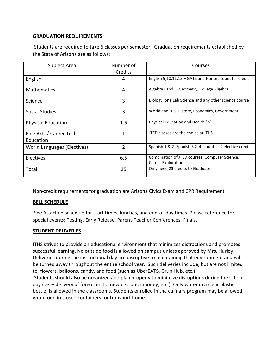#### **GRADUATION REQUIREMENTS**

Students are required to take 6 classes per semester. Graduation requirements established by the State of Arizona are as follows:

| Subject Area                         | Number of<br>Credits | Courses                                                              |
|--------------------------------------|----------------------|----------------------------------------------------------------------|
| English                              | 4                    | English $9,10,11,12$ – GATE and Honors count for credit              |
| <b>Mathematics</b>                   | 4                    | Algebra I and II, Geometry, College Algebra                          |
| Science                              | 3                    | Biology, one Lab Science and any other science course                |
| Social Studies                       | 3                    | World and U.S. History, Economics, Government                        |
| <b>Physical Education</b>            | 1.5                  | Physical Education and Health (.5)                                   |
| Fine Arts / Career Tech<br>Education | 1                    | JTED classes are the choice at ITHS                                  |
| World Languages (Electives)          | $\overline{2}$       | Spanish 1 & 2, Spanish 3 & 4- count as 2 elective credits            |
| <b>Electives</b>                     | 6.5                  | Combination of JTED courses, Computer Science,<br>Career Exploration |
| Total                                | 25                   | Only need 23 credits to Graduate                                     |

Non-credit requirements for graduation are Arizona Civics Exam and CPR Requirement

#### **BELL SCHEDULE**

See Attached schedule for start times, lunches, and end-of-day times. Please reference for special events: Testing, Early Release, Parent-Teacher Conferences, Finals.

#### **STUDENT DELIVERIES**

ITHS strives to provide an educational environment that minimizes distractions and promotes successful learning. No outside food is allowed on campus unless approved by Mrs. Hurley. Deliveries during the instructional day are disruptive to maintaining that environment and will be turned away throughout the entire school year. Such deliveries include, but are not limited to, flowers, balloons, candy, and food (such as UberEATS, Grub Hub, etc.).

Students should also be organized and plan properly to minimize disruptions during the school day (i.e. – delivery of forgotten homework, lunch money, etc.). Only water in a clear plastic bottle, is allowed in the classrooms. Students enrolled in the culinary program may be allowed wrap food in closed containers for transport home.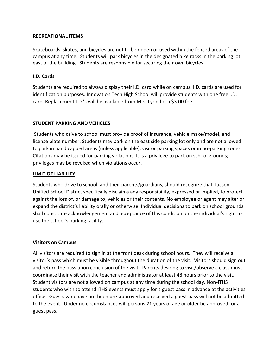#### **RECREATIONAL ITEMS**

Skateboards, skates, and bicycles are not to be ridden or used within the fenced areas of the campus at any time. Students will park bicycles in the designated bike racks in the parking lot east of the building. Students are responsible for securing their own bicycles.

#### **I.D. Cards**

Students are required to always display their I.D. card while on campus. I.D. cards are used for identification purposes. Innovation Tech High School will provide students with one free I.D. card. Replacement I.D.'s will be available from Mrs. Lyon for a \$3.00 fee.

#### **STUDENT PARKING AND VEHICLES**

Students who drive to school must provide proof of insurance, vehicle make/model, and license plate number. Students may park on the east side parking lot only and are not allowed to park in handicapped areas (unless applicable), visitor parking spaces or in no-parking zones. Citations may be issued for parking violations. It is a privilege to park on school grounds; privileges may be revoked when violations occur.

#### **LIMIT OF LIABILITY**

Students who drive to school, and their parents/guardians, should recognize that Tucson Unified School District specifically disclaims any responsibility, expressed or implied, to protect against the loss of, or damage to, vehicles or their contents. No employee or agent may alter or expand the district's liability orally or otherwise. Individual decisions to park on school grounds shall constitute acknowledgement and acceptance of this condition on the individual's right to use the school's parking facility.

#### **Visitors on Campus**

All visitors are required to sign in at the front desk during school hours. They will receive a visitor's pass which must be visible throughout the duration of the visit. Visitors should sign out and return the pass upon conclusion of the visit. Parents desiring to visit/observe a class must coordinate their visit with the teacher and administrator at least 48 hours prior to the visit. Student visitors are not allowed on campus at any time during the school day. Non-ITHS students who wish to attend ITHS events must apply for a guest pass in advance at the activities office. Guests who have not been pre-approved and received a guest pass will not be admitted to the event. Under no circumstances will persons 21 years of age or older be approved for a guest pass.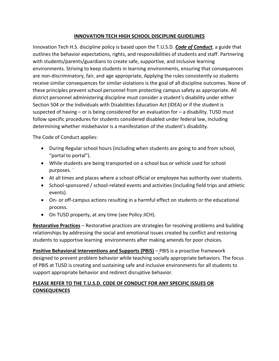#### **INNOVATION TECH HIGH SCHOOL DISCIPLINE GUIDELINES**

Innovation Tech H.S. discipline policy is based upon the T.U.S.D. *Code of Conduct*, a guide that outlines the behavior expectations, rights, and responsibilities of students and staff. Partnering with students/parents/guardians to create safe, supportive, and inclusive learning environments. Striving to keep students in learning environments, ensuring that consequences are non-discriminatory, fair, and age appropriate, Applying the rules consistently so students receive similar consequences for similar violations is the goal of all discipline outcomes. None of these principles prevent school personnel from protecting campus safety as appropriate. All district personnel administering discipline must consider a student's disability under either Section 504 or the Individuals with Disabilities Education Act (IDEA) or if the student is suspected of having – or is being considered for an evaluation for – a disability. TUSD must follow specific procedures for students considered disabled under federal law, including determining whether misbehavior is a manifestation of the student's disability.

The Code of Conduct applies:

- During Regular school hours (including when students are going to and from school, "portal to portal").
- While students are being transported on a school bus or vehicle used for school purposes. `
- At all times and places where a school official or employee has authority over students.
- School-sponsored / school-related events and activities (including field trips and athletic events).
- On- or off-campus actions resulting in a harmful effect on students or the educational process.
- On TUSD property, at any time (see Policy JICH).

**Restorative Practices** – Restorative practices are strategies for resolving problems and building relationships by addressing the social and emotional issues created by conflict and restoring students to supportive learning environments after making amends for poor choices.

**Positive Behavioral Interventions and Supports (PBIS)** – PBIS is a proactive framework designed to prevent problem behavior while teaching socially appropriate behaviors. The focus of PBIS at TUSD is creating and sustaining safe and inclusive environments for all students to support appropriate behavior and redirect disruptive behavior.

# **PLEASE REFER TO THE T.U.S.D. CODE OF CONDUCT FOR ANY SPECIFIC ISSUES OR CONSEQUENCES**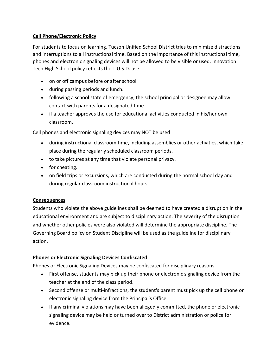# **Cell Phone/Electronic Policy**

For students to focus on learning, Tucson Unified School District tries to minimize distractions and interruptions to all instructional time. Based on the importance of this instructional time, phones and electronic signaling devices will not be allowed to be visible or used. Innovation Tech High School policy reflects the T.U.S.D. use:

- on or off campus before or after school.
- during passing periods and lunch.
- following a school state of emergency; the school principal or designee may allow contact with parents for a designated time.
- if a teacher approves the use for educational activities conducted in his/her own classroom.

Cell phones and electronic signaling devices may NOT be used:

- during instructional classroom time, including assemblies or other activities, which take place during the regularly scheduled classroom periods.
- to take pictures at any time that violate personal privacy.
- for cheating.
- on field trips or excursions, which are conducted during the normal school day and during regular classroom instructional hours.

#### **Consequences**

Students who violate the above guidelines shall be deemed to have created a disruption in the educational environment and are subject to disciplinary action. The severity of the disruption and whether other policies were also violated will determine the appropriate discipline. The Governing Board policy on Student Discipline will be used as the guideline for disciplinary action.

# **Phones or Electronic Signaling Devices Confiscated**

Phones or Electronic Signaling Devices may be confiscated for disciplinary reasons.

- First offense, students may pick up their phone or electronic signaling device from the teacher at the end of the class period.
- Second offense or multi-infractions, the student's parent must pick up the cell phone or electronic signaling device from the Principal's Office.
- If any criminal violations may have been allegedly committed, the phone or electronic signaling device may be held or turned over to District administration or police for evidence.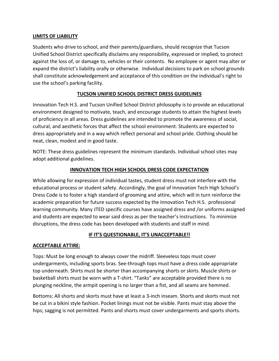#### **LIMITS OF LIABILITY**

Students who drive to school, and their parents/guardians, should recognize that Tucson Unified School District specifically disclaims any responsibility, expressed or implied, to protect against the loss of, or damage to, vehicles or their contents. No employee or agent may alter or expand the district's liability orally or otherwise. Individual decisions to park on school grounds shall constitute acknowledgement and acceptance of this condition on the individual's right to use the school's parking facility.

# **TUCSON UNIFIED SCHOOL DISTRICT DRESS GUIDELINES**

Innovation Tech H.S. and Tucson Unified School District philosophy is to provide an educational environment designed to motivate, teach, and encourage students to attain the highest levels of proficiency in all areas. Dress guidelines are intended to promote the awareness of social, cultural, and aesthetic forces that affect the school environment. Students are expected to dress appropriately and in a way which reflect personal and school pride. Clothing should be neat, clean, modest and in good taste.

NOTE: These dress guidelines represent the minimum standards. Individual school sites may adopt additional guidelines.

#### **INNOVATION TECH HIGH SCHOOL DRESS CODE EXPECTATION**

While allowing for expression of individual tastes, student dress must not interfere with the educational process or student safety. Accordingly, the goal of Innovation Tech High School's Dress Code is to foster a high standard of grooming and attire, which will in turn reinforce the academic preparation for future success expected by the Innovation Tech H.S. professional learning community. Many JTED specific courses have assigned dress and /or uniforms assigned and students are expected to wear said dress as per the teacher's instructions. To minimize disruptions, the dress code has been developed with students and staff in mind.

#### **IF IT'S QUESTIONABLE, IT'S UNACCEPTABLE!!**

#### **ACCEPTABLE ATTIRE:**

Tops: Must be long enough to always cover the midriff. Sleeveless tops must cover undergarments, including sports bras. See-through tops must have a dress code appropriate top underneath. Shirts must be shorter than accompanying shorts or skirts. Muscle shirts or basketball shirts must be worn with a T-shirt. "Tanks" are acceptable provided there is no plunging neckline, the armpit opening is no larger than a fist, and all seams are hemmed.

Bottoms: All shorts and skorts must have at least a 3-inch inseam. Shorts and skorts must not be cut in a bikini style fashion. Pocket linings must not be visible. Pants must stay above the hips; sagging is not permitted. Pants and shorts must cover undergarments and sports shorts.